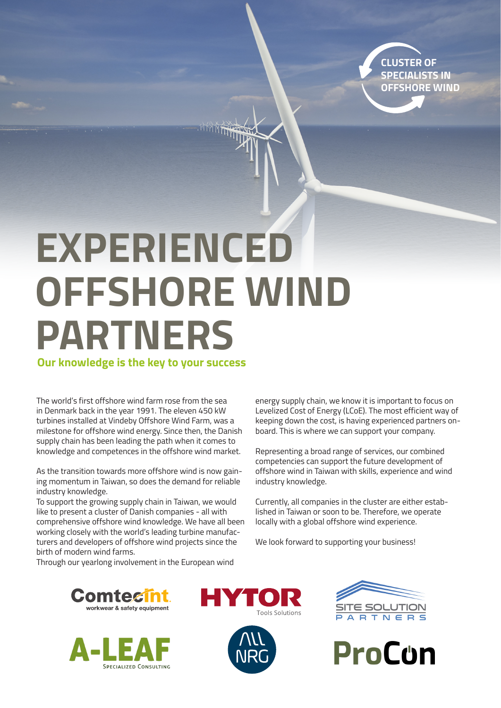**CLUSTER OF SPECIALISTS IN OFFSHORE WIND**

## **EXPERIENCED OFFSHORE WIND PARTNERS**

**Our knowledge is the key to your success** 

The world's first offshore wind farm rose from the sea in Denmark back in the year 1991. The eleven 450 kW turbines installed at Vindeby Offshore Wind Farm, was a milestone for offshore wind energy. Since then, the Danish supply chain has been leading the path when it comes to knowledge and competences in the offshore wind market.

As the transition towards more offshore wind is now gaining momentum in Taiwan, so does the demand for reliable industry knowledge.

To support the growing supply chain in Taiwan, we would like to present a cluster of Danish companies - all with comprehensive offshore wind knowledge. We have all been working closely with the world's leading turbine manufacturers and developers of offshore wind projects since the birth of modern wind farms.

Through our yearlong involvement in the European wind

energy supply chain, we know it is important to focus on Levelized Cost of Energy (LCoE). The most efficient way of keeping down the cost, is having experienced partners onboard. This is where we can support your company.

Representing a broad range of services, our combined competencies can support the future development of offshore wind in Taiwan with skills, experience and wind industry knowledge.

Currently, all companies in the cluster are either established in Taiwan or soon to be. Therefore, we operate locally with a global offshore wind experience.

We look forward to supporting your business!